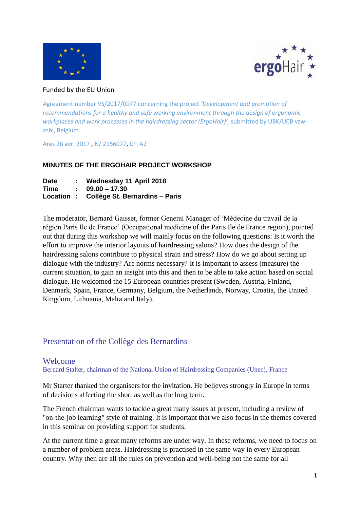



#### Funded by the EU Union

Agreement number VS/2017/0077 concerning the project *'Development and promotion of recommendations for a healthy and safe working environment through the design of ergonomic workplaces and work processes in the hairdressing sector (ErgoHair)',* submitted by UBK/UCB vzwasbl, Belgium.

Ares 26 avr. 2017 , N/ 2156077, CF: A2

#### **MINUTES OF THE ERGOHAIR PROJECT WORKSHOP**

| <b>Date</b> | Wednesday 11 April 2018                   |
|-------------|-------------------------------------------|
| Time        | $\therefore$ 09.00 - 17.30                |
|             | Location : Collège St. Bernardins - Paris |

The moderator, Bernard Gaisset, former General Manager of 'Médecine du travail de la région Paris Ile de France' (Occupational medicine of the Paris Ile de France region), pointed out that during this workshop we will mainly focus on the following questions: Is it worth the effort to improve the interior layouts of hairdressing salons? How does the design of the hairdressing salons contribute to physical strain and stress? How do we go about setting up dialogue with the industry? Are norms necessary? It is important to assess (measure) the current situation, to gain an insight into this and then to be able to take action based on social dialogue. He welcomed the 15 European countries present (Sweden, Austria, Finland, Denmark, Spain, France, Germany, Belgium, the Netherlands, Norway, Croatia, the United Kingdom, Lithuania, Malta and Italy).

## Presentation of the Collège des Bernardins

### Welcome

Bernard Stalter, chairman of the National Union of Hairdressing Companies (Unec), France

Mr Starter thanked the organisers for the invitation. He believes strongly in Europe in terms of decisions affecting the short as well as the long term.

The French chairman wants to tackle a great many issues at present, including a review of "on-the-job learning" style of training. It is important that we also focus in the themes covered in this seminar on providing support for students.

At the current time a great many reforms are under way. In these reforms, we need to focus on a number of problem areas. Hairdressing is practised in the same way in every European country. Why then are all the rules on prevention and well-being not the same for all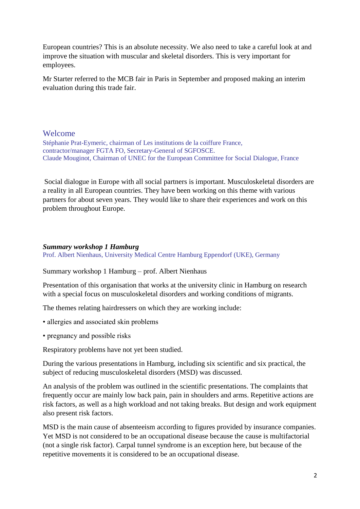European countries? This is an absolute necessity. We also need to take a careful look at and improve the situation with muscular and skeletal disorders. This is very important for employees.

Mr Starter referred to the MCB fair in Paris in September and proposed making an interim evaluation during this trade fair.

## Welcome

Stéphanie Prat-Eymeric, chairman of Les institutions de la coiffure France, contractor/manager FGTA FO, Secretary-General of SGFOSCE. Claude Mouginot, Chairman of UNEC for the European Committee for Social Dialogue, France

Social dialogue in Europe with all social partners is important. Musculoskeletal disorders are a reality in all European countries. They have been working on this theme with various partners for about seven years. They would like to share their experiences and work on this problem throughout Europe.

#### *Summary workshop 1 Hamburg*

Prof. Albert Nienhaus, University Medical Centre Hamburg Eppendorf (UKE), Germany

Summary workshop 1 Hamburg – prof. Albert Nienhaus

Presentation of this organisation that works at the university clinic in Hamburg on research with a special focus on musculoskeletal disorders and working conditions of migrants.

The themes relating hairdressers on which they are working include:

- allergies and associated skin problems
- pregnancy and possible risks

Respiratory problems have not yet been studied.

During the various presentations in Hamburg, including six scientific and six practical, the subject of reducing musculoskeletal disorders (MSD) was discussed.

An analysis of the problem was outlined in the scientific presentations. The complaints that frequently occur are mainly low back pain, pain in shoulders and arms. Repetitive actions are risk factors, as well as a high workload and not taking breaks. But design and work equipment also present risk factors.

MSD is the main cause of absenteeism according to figures provided by insurance companies. Yet MSD is not considered to be an occupational disease because the cause is multifactorial (not a single risk factor). Carpal tunnel syndrome is an exception here, but because of the repetitive movements it is considered to be an occupational disease.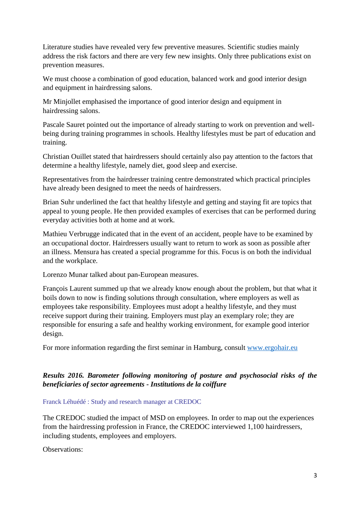Literature studies have revealed very few preventive measures. Scientific studies mainly address the risk factors and there are very few new insights. Only three publications exist on prevention measures.

We must choose a combination of good education, balanced work and good interior design and equipment in hairdressing salons.

Mr Minjollet emphasised the importance of good interior design and equipment in hairdressing salons.

Pascale Sauret pointed out the importance of already starting to work on prevention and wellbeing during training programmes in schools. Healthy lifestyles must be part of education and training.

Christian Ouillet stated that hairdressers should certainly also pay attention to the factors that determine a healthy lifestyle, namely diet, good sleep and exercise.

Representatives from the hairdresser training centre demonstrated which practical principles have already been designed to meet the needs of hairdressers.

Brian Suhr underlined the fact that healthy lifestyle and getting and staying fit are topics that appeal to young people. He then provided examples of exercises that can be performed during everyday activities both at home and at work.

Mathieu Verbrugge indicated that in the event of an accident, people have to be examined by an occupational doctor. Hairdressers usually want to return to work as soon as possible after an illness. Mensura has created a special programme for this. Focus is on both the individual and the workplace.

Lorenzo Munar talked about pan-European measures.

François Laurent summed up that we already know enough about the problem, but that what it boils down to now is finding solutions through consultation, where employers as well as employees take responsibility. Employees must adopt a healthy lifestyle, and they must receive support during their training. Employers must play an exemplary role; they are responsible for ensuring a safe and healthy working environment, for example good interior design.

For more information regarding the first seminar in Hamburg, consult [www.ergohair.eu](http://www.ergohair.eu/)

### *Results 2016. Barometer following monitoring of posture and psychosocial risks of the beneficiaries of sector agreements - Institutions de la coiffure*

### Franck Léhuédé : Study and research manager at CREDOC

The CREDOC studied the impact of MSD on employees. In order to map out the experiences from the hairdressing profession in France, the CREDOC interviewed 1,100 hairdressers, including students, employees and employers.

Observations: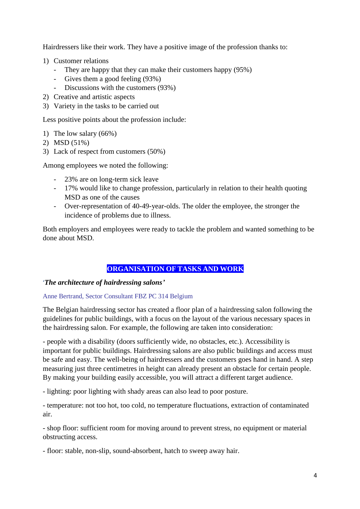Hairdressers like their work. They have a positive image of the profession thanks to:

- 1) Customer relations
	- They are happy that they can make their customers happy (95%)
	- Gives them a good feeling (93%)
	- Discussions with the customers (93%)
- 2) Creative and artistic aspects
- 3) Variety in the tasks to be carried out

Less positive points about the profession include:

- 1) The low salary (66%)
- 2) MSD (51%)
- 3) Lack of respect from customers (50%)

Among employees we noted the following:

- 23% are on long-term sick leave
- 17% would like to change profession, particularly in relation to their health quoting MSD as one of the causes
- Over-representation of 40-49-year-olds. The older the employee, the stronger the incidence of problems due to illness.

Both employers and employees were ready to tackle the problem and wanted something to be done about MSD.

### **ORGANISATION OF TASKS AND WORK**

#### '*The architecture of hairdressing salons'*

#### Anne Bertrand, Sector Consultant FBZ PC 314 Belgium

The Belgian hairdressing sector has created a floor plan of a hairdressing salon following the guidelines for public buildings, with a focus on the layout of the various necessary spaces in the hairdressing salon. For example, the following are taken into consideration:

- people with a disability (doors sufficiently wide, no obstacles, etc.). Accessibility is important for public buildings. Hairdressing salons are also public buildings and access must be safe and easy. The well-being of hairdressers and the customers goes hand in hand. A step measuring just three centimetres in height can already present an obstacle for certain people. By making your building easily accessible, you will attract a different target audience.

- lighting: poor lighting with shady areas can also lead to poor posture.

- temperature: not too hot, too cold, no temperature fluctuations, extraction of contaminated air.

- shop floor: sufficient room for moving around to prevent stress, no equipment or material obstructing access.

- floor: stable, non-slip, sound-absorbent, hatch to sweep away hair.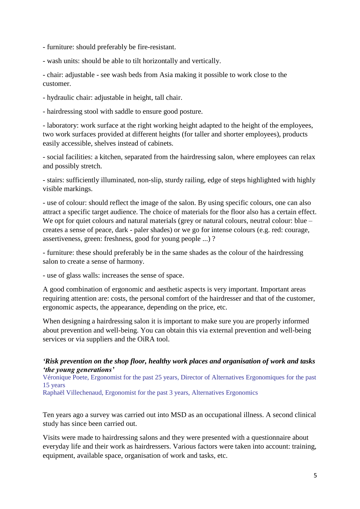- furniture: should preferably be fire-resistant.

- wash units: should be able to tilt horizontally and vertically.

- chair: adjustable - see wash beds from Asia making it possible to work close to the customer.

- hydraulic chair: adjustable in height, tall chair.

- hairdressing stool with saddle to ensure good posture.

- laboratory: work surface at the right working height adapted to the height of the employees, two work surfaces provided at different heights (for taller and shorter employees), products easily accessible, shelves instead of cabinets.

- social facilities: a kitchen, separated from the hairdressing salon, where employees can relax and possibly stretch.

- stairs: sufficiently illuminated, non-slip, sturdy railing, edge of steps highlighted with highly visible markings.

- use of colour: should reflect the image of the salon. By using specific colours, one can also attract a specific target audience. The choice of materials for the floor also has a certain effect. We opt for quiet colours and natural materials (grey or natural colours, neutral colour: blue – creates a sense of peace, dark - paler shades) or we go for intense colours (e.g. red: courage, assertiveness, green: freshness, good for young people ...) ?

- furniture: these should preferably be in the same shades as the colour of the hairdressing salon to create a sense of harmony.

- use of glass walls: increases the sense of space.

A good combination of ergonomic and aesthetic aspects is very important. Important areas requiring attention are: costs, the personal comfort of the hairdresser and that of the customer, ergonomic aspects, the appearance, depending on the price, etc.

When designing a hairdressing salon it is important to make sure you are properly informed about prevention and well-being. You can obtain this via external prevention and well-being services or via suppliers and the OiRA tool.

#### *'Risk prevention on the shop floor, healthy work places and organisation of work and tasks 'the young generations'*

Véronique Poete, Ergonomist for the past 25 years, Director of Alternatives Ergonomiques for the past 15 years

Raphaël Villechenaud, Ergonomist for the past 3 years, Alternatives Ergonomics

Ten years ago a survey was carried out into MSD as an occupational illness. A second clinical study has since been carried out.

Visits were made to hairdressing salons and they were presented with a questionnaire about everyday life and their work as hairdressers. Various factors were taken into account: training, equipment, available space, organisation of work and tasks, etc.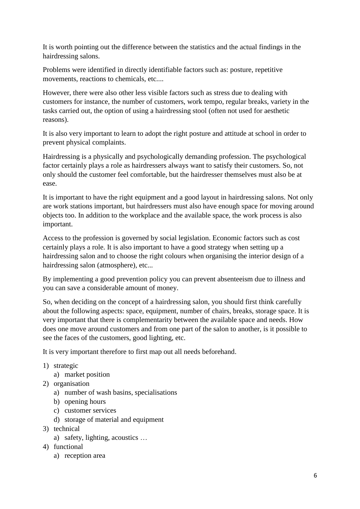It is worth pointing out the difference between the statistics and the actual findings in the hairdressing salons.

Problems were identified in directly identifiable factors such as: posture, repetitive movements, reactions to chemicals, etc....

However, there were also other less visible factors such as stress due to dealing with customers for instance, the number of customers, work tempo, regular breaks, variety in the tasks carried out, the option of using a hairdressing stool (often not used for aesthetic reasons).

It is also very important to learn to adopt the right posture and attitude at school in order to prevent physical complaints.

Hairdressing is a physically and psychologically demanding profession. The psychological factor certainly plays a role as hairdressers always want to satisfy their customers. So, not only should the customer feel comfortable, but the hairdresser themselves must also be at ease.

It is important to have the right equipment and a good layout in hairdressing salons. Not only are work stations important, but hairdressers must also have enough space for moving around objects too. In addition to the workplace and the available space, the work process is also important.

Access to the profession is governed by social legislation. Economic factors such as cost certainly plays a role. It is also important to have a good strategy when setting up a hairdressing salon and to choose the right colours when organising the interior design of a hairdressing salon (atmosphere), etc...

By implementing a good prevention policy you can prevent absenteeism due to illness and you can save a considerable amount of money.

So, when deciding on the concept of a hairdressing salon, you should first think carefully about the following aspects: space, equipment, number of chairs, breaks, storage space. It is very important that there is complementarity between the available space and needs. How does one move around customers and from one part of the salon to another, is it possible to see the faces of the customers, good lighting, etc.

It is very important therefore to first map out all needs beforehand.

- 1) strategic
	- a) market position
- 2) organisation
	- a) number of wash basins, specialisations
	- b) opening hours
	- c) customer services
	- d) storage of material and equipment
- 3) technical
	- a) safety, lighting, acoustics …
- 4) functional
	- a) reception area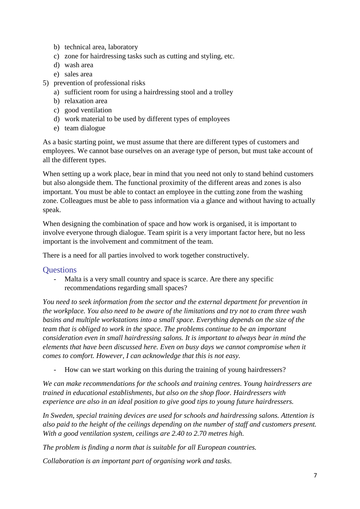- b) technical area, laboratory
- c) zone for hairdressing tasks such as cutting and styling, etc.
- d) wash area
- e) sales area
- 5) prevention of professional risks
	- a) sufficient room for using a hairdressing stool and a trolley
	- b) relaxation area
	- c) good ventilation
	- d) work material to be used by different types of employees
	- e) team dialogue

As a basic starting point, we must assume that there are different types of customers and employees. We cannot base ourselves on an average type of person, but must take account of all the different types.

When setting up a work place, bear in mind that you need not only to stand behind customers but also alongside them. The functional proximity of the different areas and zones is also important. You must be able to contact an employee in the cutting zone from the washing zone. Colleagues must be able to pass information via a glance and without having to actually speak.

When designing the combination of space and how work is organised, it is important to involve everyone through dialogue. Team spirit is a very important factor here, but no less important is the involvement and commitment of the team.

There is a need for all parties involved to work together constructively.

### **Ouestions**

- Malta is a very small country and space is scarce. Are there any specific recommendations regarding small spaces?

*You need to seek information from the sector and the external department for prevention in the workplace. You also need to be aware of the limitations and try not to cram three wash basins and multiple workstations into a small space. Everything depends on the size of the team that is obliged to work in the space. The problems continue to be an important consideration even in small hairdressing salons. It is important to always bear in mind the elements that have been discussed here. Even on busy days we cannot compromise when it comes to comfort. However, I can acknowledge that this is not easy.*

- How can we start working on this during the training of young hairdressers?

*We can make recommendations for the schools and training centres. Young hairdressers are trained in educational establishments, but also on the shop floor. Hairdressers with experience are also in an ideal position to give good tips to young future hairdressers.*

*In Sweden, special training devices are used for schools and hairdressing salons. Attention is also paid to the height of the ceilings depending on the number of staff and customers present. With a good ventilation system, ceilings are 2.40 to 2.70 metres high.*

*The problem is finding a norm that is suitable for all European countries.*

*Collaboration is an important part of organising work and tasks.*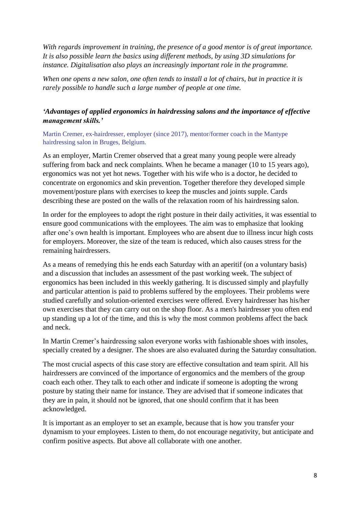*With regards improvement in training, the presence of a good mentor is of great importance. It is also possible learn the basics using different methods, by using 3D simulations for instance. Digitalisation also plays an increasingly important role in the programme.*

*When one opens a new salon, one often tends to install a lot of chairs, but in practice it is rarely possible to handle such a large number of people at one time.*

## *'Advantages of applied ergonomics in hairdressing salons and the importance of effective management skills.'*

Martin Cremer, ex-hairdresser, employer (since 2017), mentor/former coach in the Mantype hairdressing salon in Bruges, Belgium.

As an employer, Martin Cremer observed that a great many young people were already suffering from back and neck complaints. When he became a manager (10 to 15 years ago), ergonomics was not yet hot news. Together with his wife who is a doctor, he decided to concentrate on ergonomics and skin prevention. Together therefore they developed simple movement/posture plans with exercises to keep the muscles and joints supple. Cards describing these are posted on the walls of the relaxation room of his hairdressing salon.

In order for the employees to adopt the right posture in their daily activities, it was essential to ensure good communications with the employees. The aim was to emphasize that looking after one's own health is important. Employees who are absent due to illness incur high costs for employers. Moreover, the size of the team is reduced, which also causes stress for the remaining hairdressers.

As a means of remedying this he ends each Saturday with an aperitif (on a voluntary basis) and a discussion that includes an assessment of the past working week. The subject of ergonomics has been included in this weekly gathering. It is discussed simply and playfully and particular attention is paid to problems suffered by the employees. Their problems were studied carefully and solution-oriented exercises were offered. Every hairdresser has his/her own exercises that they can carry out on the shop floor. As a men's hairdresser you often end up standing up a lot of the time, and this is why the most common problems affect the back and neck.

In Martin Cremer's hairdressing salon everyone works with fashionable shoes with insoles, specially created by a designer. The shoes are also evaluated during the Saturday consultation.

The most crucial aspects of this case story are effective consultation and team spirit. All his hairdressers are convinced of the importance of ergonomics and the members of the group coach each other. They talk to each other and indicate if someone is adopting the wrong posture by stating their name for instance. They are advised that if someone indicates that they are in pain, it should not be ignored, that one should confirm that it has been acknowledged.

It is important as an employer to set an example, because that is how you transfer your dynamism to your employees. Listen to them, do not encourage negativity, but anticipate and confirm positive aspects. But above all collaborate with one another.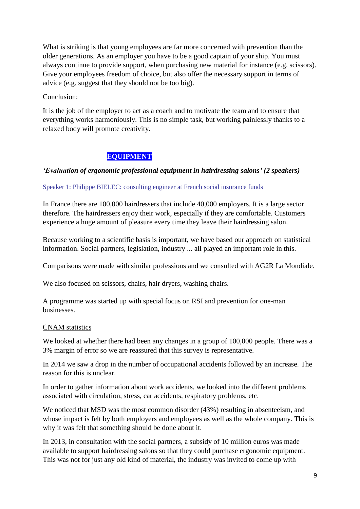What is striking is that young employees are far more concerned with prevention than the older generations. As an employer you have to be a good captain of your ship. You must always continue to provide support, when purchasing new material for instance (e.g. scissors). Give your employees freedom of choice, but also offer the necessary support in terms of advice (e.g. suggest that they should not be too big).

Conclusion:

It is the job of the employer to act as a coach and to motivate the team and to ensure that everything works harmoniously. This is no simple task, but working painlessly thanks to a relaxed body will promote creativity.

## **EQUIPMENT**

#### *'Evaluation of ergonomic professional equipment in hairdressing salons' (2 speakers)*

#### Speaker 1: Philippe BIELEC: consulting engineer at French social insurance funds

In France there are 100,000 hairdressers that include 40,000 employers. It is a large sector therefore. The hairdressers enjoy their work, especially if they are comfortable. Customers experience a huge amount of pleasure every time they leave their hairdressing salon.

Because working to a scientific basis is important, we have based our approach on statistical information. Social partners, legislation, industry ... all played an important role in this.

Comparisons were made with similar professions and we consulted with AG2R La Mondiale.

We also focused on scissors, chairs, hair dryers, washing chairs.

A programme was started up with special focus on RSI and prevention for one-man businesses.

#### CNAM statistics

We looked at whether there had been any changes in a group of 100,000 people. There was a 3% margin of error so we are reassured that this survey is representative.

In 2014 we saw a drop in the number of occupational accidents followed by an increase. The reason for this is unclear.

In order to gather information about work accidents, we looked into the different problems associated with circulation, stress, car accidents, respiratory problems, etc.

We noticed that MSD was the most common disorder (43%) resulting in absenteeism, and whose impact is felt by both employers and employees as well as the whole company. This is why it was felt that something should be done about it.

In 2013, in consultation with the social partners, a subsidy of 10 million euros was made available to support hairdressing salons so that they could purchase ergonomic equipment. This was not for just any old kind of material, the industry was invited to come up with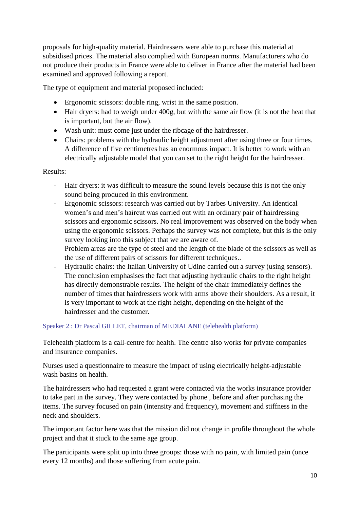proposals for high-quality material. Hairdressers were able to purchase this material at subsidised prices. The material also complied with European norms. Manufacturers who do not produce their products in France were able to deliver in France after the material had been examined and approved following a report.

The type of equipment and material proposed included:

- Ergonomic scissors: double ring, wrist in the same position.
- Hair dryers: had to weigh under 400g, but with the same air flow (it is not the heat that is important, but the air flow).
- Wash unit: must come just under the ribcage of the hairdresser.
- Chairs: problems with the hydraulic height adjustment after using three or four times. A difference of five centimetres has an enormous impact. It is better to work with an electrically adjustable model that you can set to the right height for the hairdresser.

### Results:

- Hair dryers: it was difficult to measure the sound levels because this is not the only sound being produced in this environment.
- Ergonomic scissors: research was carried out by Tarbes University. An identical women's and men's haircut was carried out with an ordinary pair of hairdressing scissors and ergonomic scissors. No real improvement was observed on the body when using the ergonomic scissors. Perhaps the survey was not complete, but this is the only survey looking into this subject that we are aware of.

Problem areas are the type of steel and the length of the blade of the scissors as well as the use of different pairs of scissors for different techniques..

- Hydraulic chairs: the Italian University of Udine carried out a survey (using sensors). The conclusion emphasises the fact that adjusting hydraulic chairs to the right height has directly demonstrable results. The height of the chair immediately defines the number of times that hairdressers work with arms above their shoulders. As a result, it is very important to work at the right height, depending on the height of the hairdresser and the customer.

Speaker 2 : Dr Pascal GILLET, chairman of MEDIALANE (telehealth platform)

Telehealth platform is a call-centre for health. The centre also works for private companies and insurance companies.

Nurses used a questionnaire to measure the impact of using electrically height-adjustable wash basins on health.

The hairdressers who had requested a grant were contacted via the works insurance provider to take part in the survey. They were contacted by phone , before and after purchasing the items. The survey focused on pain (intensity and frequency), movement and stiffness in the neck and shoulders.

The important factor here was that the mission did not change in profile throughout the whole project and that it stuck to the same age group.

The participants were split up into three groups: those with no pain, with limited pain (once every 12 months) and those suffering from acute pain.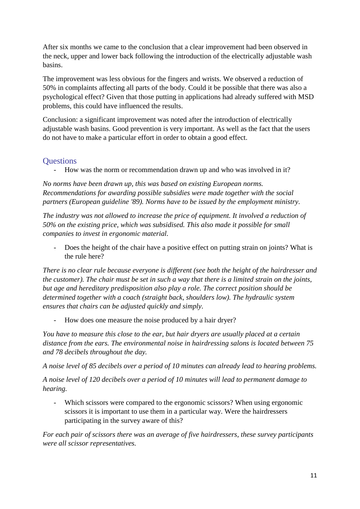After six months we came to the conclusion that a clear improvement had been observed in the neck, upper and lower back following the introduction of the electrically adjustable wash basins.

The improvement was less obvious for the fingers and wrists. We observed a reduction of 50% in complaints affecting all parts of the body. Could it be possible that there was also a psychological effect? Given that those putting in applications had already suffered with MSD problems, this could have influenced the results.

Conclusion: a significant improvement was noted after the introduction of electrically adjustable wash basins. Good prevention is very important. As well as the fact that the users do not have to make a particular effort in order to obtain a good effect.

# **Ouestions**

- How was the norm or recommendation drawn up and who was involved in it?

*No norms have been drawn up, this was based on existing European norms. Recommendations for awarding possible subsidies were made together with the social partners (European guideline '89). Norms have to be issued by the employment ministry.*

*The industry was not allowed to increase the price of equipment. It involved a reduction of 50% on the existing price, which was subsidised. This also made it possible for small companies to invest in ergonomic material.*

- Does the height of the chair have a positive effect on putting strain on joints? What is the rule here?

*There is no clear rule because everyone is different (see both the height of the hairdresser and the customer). The chair must be set in such a way that there is a limited strain on the joints, but age and hereditary predisposition also play a role. The correct position should be determined together with a coach (straight back, shoulders low). The hydraulic system ensures that chairs can be adjusted quickly and simply.*

- How does one measure the noise produced by a hair dryer?

*You have to measure this close to the ear, but hair dryers are usually placed at a certain distance from the ears. The environmental noise in hairdressing salons is located between 75 and 78 decibels throughout the day.* 

*A noise level of 85 decibels over a period of 10 minutes can already lead to hearing problems.*

*A noise level of 120 decibels over a period of 10 minutes will lead to permanent damage to hearing.*

- Which scissors were compared to the ergonomic scissors? When using ergonomic scissors it is important to use them in a particular way. Were the hairdressers participating in the survey aware of this?

*For each pair of scissors there was an average of five hairdressers, these survey participants were all scissor representatives.*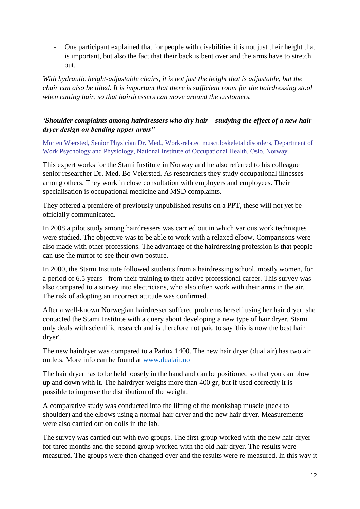- One participant explained that for people with disabilities it is not just their height that is important, but also the fact that their back is bent over and the arms have to stretch out.

*With hydraulic height-adjustable chairs, it is not just the height that is adjustable, but the chair can also be tilted. It is important that there is sufficient room for the hairdressing stool when cutting hair, so that hairdressers can move around the customers.*

## *'Shoulder complaints among hairdressers who dry hair – studying the effect of a new hair dryer design on bending upper arms"*

Morten Wærsted, Senior Physician Dr. Med., Work-related musculoskeletal disorders, Department of Work Psychology and Physiology, National Institute of Occupational Health, Oslo, Norway.

This expert works for the Stami Institute in Norway and he also referred to his colleague senior researcher Dr. Med. Bo Veiersted. As researchers they study occupational illnesses among others. They work in close consultation with employers and employees. Their specialisation is occupational medicine and MSD complaints.

They offered a première of previously unpublished results on a PPT, these will not yet be officially communicated.

In 2008 a pilot study among hairdressers was carried out in which various work techniques were studied. The objective was to be able to work with a relaxed elbow. Comparisons were also made with other professions. The advantage of the hairdressing profession is that people can use the mirror to see their own posture.

In 2000, the Stami Institute followed students from a hairdressing school, mostly women, for a period of 6.5 years - from their training to their active professional career. This survey was also compared to a survey into electricians, who also often work with their arms in the air. The risk of adopting an incorrect attitude was confirmed.

After a well-known Norwegian hairdresser suffered problems herself using her hair dryer, she contacted the Stami Institute with a query about developing a new type of hair dryer. Stami only deals with scientific research and is therefore not paid to say 'this is now the best hair dryer'.

The new hairdryer was compared to a Parlux 1400. The new hair dryer (dual air) has two air outlets. More info can be found at [www.dualair.no](http://www.dualair.no/)

The hair dryer has to be held loosely in the hand and can be positioned so that you can blow up and down with it. The hairdryer weighs more than 400 gr, but if used correctly it is possible to improve the distribution of the weight.

A comparative study was conducted into the lifting of the monkshap muscle (neck to shoulder) and the elbows using a normal hair dryer and the new hair dryer. Measurements were also carried out on dolls in the lab.

The survey was carried out with two groups. The first group worked with the new hair dryer for three months and the second group worked with the old hair dryer. The results were measured. The groups were then changed over and the results were re-measured. In this way it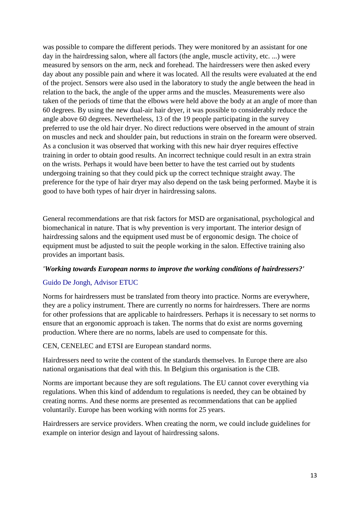was possible to compare the different periods. They were monitored by an assistant for one day in the hairdressing salon, where all factors (the angle, muscle activity, etc. ...) were measured by sensors on the arm, neck and forehead. The hairdressers were then asked every day about any possible pain and where it was located. All the results were evaluated at the end of the project. Sensors were also used in the laboratory to study the angle between the head in relation to the back, the angle of the upper arms and the muscles. Measurements were also taken of the periods of time that the elbows were held above the body at an angle of more than 60 degrees. By using the new dual-air hair dryer, it was possible to considerably reduce the angle above 60 degrees. Nevertheless, 13 of the 19 people participating in the survey preferred to use the old hair dryer. No direct reductions were observed in the amount of strain on muscles and neck and shoulder pain, but reductions in strain on the forearm were observed. As a conclusion it was observed that working with this new hair dryer requires effective training in order to obtain good results. An incorrect technique could result in an extra strain on the wrists. Perhaps it would have been better to have the test carried out by students undergoing training so that they could pick up the correct technique straight away. The preference for the type of hair dryer may also depend on the task being performed. Maybe it is good to have both types of hair dryer in hairdressing salons.

General recommendations are that risk factors for MSD are organisational, psychological and biomechanical in nature. That is why prevention is very important. The interior design of hairdressing salons and the equipment used must be of ergonomic design. The choice of equipment must be adjusted to suit the people working in the salon. Effective training also provides an important basis.

#### *'Working towards European norms to improve the working conditions of hairdressers?'*

### Guido De Jongh, Advisor ETUC

Norms for hairdressers must be translated from theory into practice. Norms are everywhere, they are a policy instrument. There are currently no norms for hairdressers. There are norms for other professions that are applicable to hairdressers. Perhaps it is necessary to set norms to ensure that an ergonomic approach is taken. The norms that do exist are norms governing production. Where there are no norms, labels are used to compensate for this.

CEN, CENELEC and ETSI are European standard norms.

Hairdressers need to write the content of the standards themselves. In Europe there are also national organisations that deal with this. In Belgium this organisation is the CIB.

Norms are important because they are soft regulations. The EU cannot cover everything via regulations. When this kind of addendum to regulations is needed, they can be obtained by creating norms. And these norms are presented as recommendations that can be applied voluntarily. Europe has been working with norms for 25 years.

Hairdressers are service providers. When creating the norm, we could include guidelines for example on interior design and layout of hairdressing salons.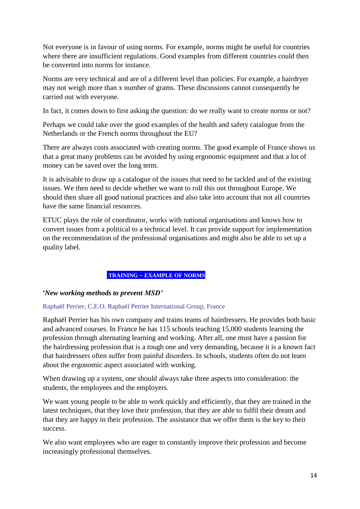Not everyone is in favour of using norms. For example, norms might be useful for countries where there are insufficient regulations. Good examples from different countries could then be converted into norms for instance.

Norms are very technical and are of a different level than policies. For example, a hairdryer may not weigh more than x number of grams. These discussions cannot consequently be carried out with everyone.

In fact, it comes down to first asking the question: do we really want to create norms or not?

Perhaps we could take over the good examples of the health and safety catalogue from the Netherlands or the French norms throughout the EU?

There are always costs associated with creating norms. The good example of France shows us that a great many problems can be avoided by using ergonomic equipment and that a lot of money can be saved over the long term.

It is advisable to draw up a catalogue of the issues that need to be tackled and of the existing issues. We then need to decide whether we want to roll this out throughout Europe. We should then share all good national practices and also take into account that not all countries have the same financial resources.

ETUC plays the role of coordinator, works with national organisations and knows how to convert issues from a political to a technical level. It can provide support for implementation on the recommendation of the professional organisations and might also be able to set up a quality label.

### **TRAINING – EXAMPLE OF NORMS**

*'New working methods to prevent MSD'* 

#### Raphaël Perrier, C.E.O. Raphaël Perrier International Group, France

Raphaël Perrier has his own company and trains teams of hairdressers. He provides both basic and advanced courses. In France he has 115 schools teaching 15,000 students learning the profession through alternating learning and working. After all, one must have a passion for the hairdressing profession that is a tough one and very demanding, because it is a known fact that hairdressers often suffer from painful disorders. In schools, students often do not learn about the ergonomic aspect associated with working.

When drawing up a system, one should always take three aspects into consideration: the students, the employees and the employers.

We want young people to be able to work quickly and efficiently, that they are trained in the latest techniques, that they love their profession, that they are able to fulfil their dream and that they are happy in their profession. The assistance that we offer them is the key to their success.

We also want employees who are eager to constantly improve their profession and become increasingly professional themselves.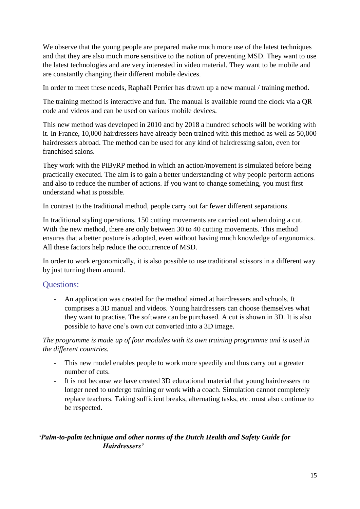We observe that the young people are prepared make much more use of the latest techniques and that they are also much more sensitive to the notion of preventing MSD. They want to use the latest technologies and are very interested in video material. They want to be mobile and are constantly changing their different mobile devices.

In order to meet these needs, Raphaël Perrier has drawn up a new manual / training method.

The training method is interactive and fun. The manual is available round the clock via a QR code and videos and can be used on various mobile devices.

This new method was developed in 2010 and by 2018 a hundred schools will be working with it. In France, 10,000 hairdressers have already been trained with this method as well as 50,000 hairdressers abroad. The method can be used for any kind of hairdressing salon, even for franchised salons.

They work with the PiByRP method in which an action/movement is simulated before being practically executed. The aim is to gain a better understanding of why people perform actions and also to reduce the number of actions. If you want to change something, you must first understand what is possible.

In contrast to the traditional method, people carry out far fewer different separations.

In traditional styling operations, 150 cutting movements are carried out when doing a cut. With the new method, there are only between 30 to 40 cutting movements. This method ensures that a better posture is adopted, even without having much knowledge of ergonomics. All these factors help reduce the occurrence of MSD.

In order to work ergonomically, it is also possible to use traditional scissors in a different way by just turning them around.

# Questions:

- An application was created for the method aimed at hairdressers and schools. It comprises a 3D manual and videos. Young hairdressers can choose themselves what they want to practise. The software can be purchased. A cut is shown in 3D. It is also possible to have one's own cut converted into a 3D image.

### *The programme is made up of four modules with its own training programme and is used in the different countries.*

- This new model enables people to work more speedily and thus carry out a greater number of cuts.
- It is not because we have created 3D educational material that young hairdressers no longer need to undergo training or work with a coach. Simulation cannot completely replace teachers. Taking sufficient breaks, alternating tasks, etc. must also continue to be respected.

# *'Palm-to-palm technique and other norms of the Dutch Health and Safety Guide for Hairdressers'*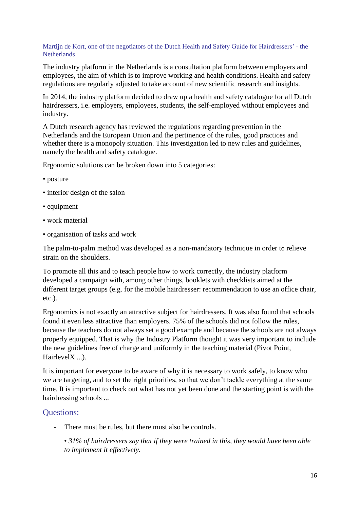#### Martijn de Kort, one of the negotiators of the Dutch Health and Safety Guide for Hairdressers' - the **Netherlands**

The industry platform in the Netherlands is a consultation platform between employers and employees, the aim of which is to improve working and health conditions. Health and safety regulations are regularly adjusted to take account of new scientific research and insights.

In 2014, the industry platform decided to draw up a health and safety catalogue for all Dutch hairdressers, i.e. employers, employees, students, the self-employed without employees and industry.

A Dutch research agency has reviewed the regulations regarding prevention in the Netherlands and the European Union and the pertinence of the rules, good practices and whether there is a monopoly situation. This investigation led to new rules and guidelines, namely the health and safety catalogue.

Ergonomic solutions can be broken down into 5 categories:

- posture
- interior design of the salon
- equipment
- work material
- organisation of tasks and work

The palm-to-palm method was developed as a non-mandatory technique in order to relieve strain on the shoulders.

To promote all this and to teach people how to work correctly, the industry platform developed a campaign with, among other things, booklets with checklists aimed at the different target groups (e.g. for the mobile hairdresser: recommendation to use an office chair, etc.).

Ergonomics is not exactly an attractive subject for hairdressers. It was also found that schools found it even less attractive than employers. 75% of the schools did not follow the rules, because the teachers do not always set a good example and because the schools are not always properly equipped. That is why the Industry Platform thought it was very important to include the new guidelines free of charge and uniformly in the teaching material (Pivot Point, HairlevelX ...).

It is important for everyone to be aware of why it is necessary to work safely, to know who we are targeting, and to set the right priorities, so that we don't tackle everything at the same time. It is important to check out what has not yet been done and the starting point is with the hairdressing schools ...

## Questions:

There must be rules, but there must also be controls.

• *31% of hairdressers say that if they were trained in this, they would have been able to implement it effectively.*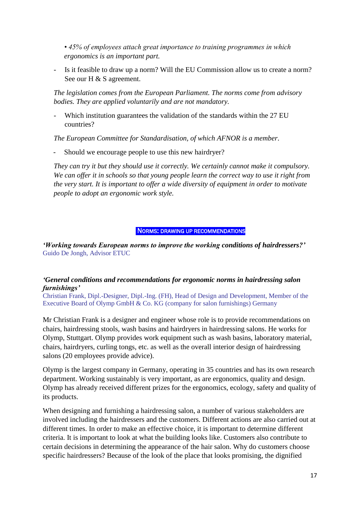*• 45% of employees attach great importance to training programmes in which ergonomics is an important part.*

- Is it feasible to draw up a norm? Will the EU Commission allow us to create a norm? See our H & S agreement.

*The legislation comes from the European Parliament. The norms come from advisory bodies. They are applied voluntarily and are not mandatory.*

Which institution guarantees the validation of the standards within the 27 EU countries?

*The European Committee for Standardisation, of which AFNOR is a member*.

Should we encourage people to use this new hairdryer?

*They can try it but they should use it correctly. We certainly cannot make it compulsory. We can offer it in schools so that young people learn the correct way to use it right from the very start. It is important to offer a wide diversity of equipment in order to motivate people to adopt an ergonomic work style.* 

#### NORMS: DRAWING UP RECOMMENDATIONS

*'Working towards European norms to improve the working conditions of hairdressers?'* Guido De Jongh, Advisor ETUC

#### *'General conditions and recommendations for ergonomic norms in hairdressing salon furnishings'*

Christian Frank, Dipl.-Designer, Dipl.-Ing. (FH), Head of Design and Development, Member of the Executive Board of Olymp GmbH & Co. KG (company for salon furnishings) Germany

Mr Christian Frank is a designer and engineer whose role is to provide recommendations on chairs, hairdressing stools, wash basins and hairdryers in hairdressing salons. He works for Olymp, Stuttgart. Olymp provides work equipment such as wash basins, laboratory material, chairs, hairdryers, curling tongs, etc. as well as the overall interior design of hairdressing salons (20 employees provide advice).

Olymp is the largest company in Germany, operating in 35 countries and has its own research department. Working sustainably is very important, as are ergonomics, quality and design. Olymp has already received different prizes for the ergonomics, ecology, safety and quality of its products.

When designing and furnishing a hairdressing salon, a number of various stakeholders are involved including the hairdressers and the customers. Different actions are also carried out at different times. In order to make an effective choice, it is important to determine different criteria. It is important to look at what the building looks like. Customers also contribute to certain decisions in determining the appearance of the hair salon. Why do customers choose specific hairdressers? Because of the look of the place that looks promising, the dignified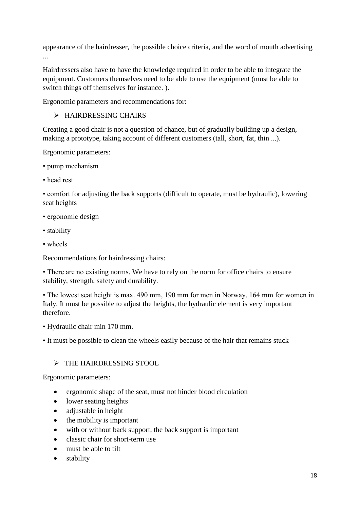appearance of the hairdresser, the possible choice criteria, and the word of mouth advertising ...

Hairdressers also have to have the knowledge required in order to be able to integrate the equipment. Customers themselves need to be able to use the equipment (must be able to switch things off themselves for instance. ).

Ergonomic parameters and recommendations for:

## > HAIRDRESSING CHAIRS

Creating a good chair is not a question of chance, but of gradually building up a design, making a prototype, taking account of different customers (tall, short, fat, thin ...).

Ergonomic parameters:

- pump mechanism
- head rest

• comfort for adjusting the back supports (difficult to operate, must be hydraulic), lowering seat heights

- ergonomic design
- stability
- wheels

Recommendations for hairdressing chairs:

• There are no existing norms. We have to rely on the norm for office chairs to ensure stability, strength, safety and durability.

• The lowest seat height is max. 490 mm, 190 mm for men in Norway, 164 mm for women in Italy. It must be possible to adjust the heights, the hydraulic element is very important therefore.

• Hydraulic chair min 170 mm.

• It must be possible to clean the wheels easily because of the hair that remains stuck

## > THE HAIRDRESSING STOOL

Ergonomic parameters:

- ergonomic shape of the seat, must not hinder blood circulation
- lower seating heights
- adjustable in height
- $\bullet$  the mobility is important
- with or without back support, the back support is important
- classic chair for short-term use
- must be able to tilt
- stability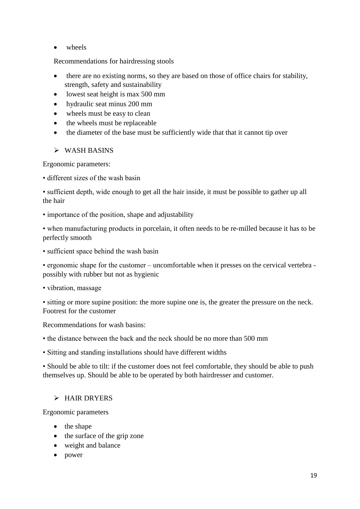• wheels

Recommendations for hairdressing stools

- there are no existing norms, so they are based on those of office chairs for stability, strength, safety and sustainability
- lowest seat height is max 500 mm
- hydraulic seat minus 200 mm
- wheels must be easy to clean
- the wheels must be replaceable
- the diameter of the base must be sufficiently wide that that it cannot tip over

### $\triangleright$  WASH BASINS

Ergonomic parameters:

• different sizes of the wash basin

• sufficient depth, wide enough to get all the hair inside, it must be possible to gather up all the hair

• importance of the position, shape and adjustability

• when manufacturing products in porcelain, it often needs to be re-milled because it has to be perfectly smooth

• sufficient space behind the wash basin

• ergonomic shape for the customer – uncomfortable when it presses on the cervical vertebra possibly with rubber but not as hygienic

• vibration, massage

• sitting or more supine position: the more supine one is, the greater the pressure on the neck. Footrest for the customer

Recommendations for wash basins:

• the distance between the back and the neck should be no more than 500 mm

• Sitting and standing installations should have different widths

• Should be able to tilt: if the customer does not feel comfortable, they should be able to push themselves up. Should be able to be operated by both hairdresser and customer.

## > HAIR DRYERS

Ergonomic parameters

- the shape
- the surface of the grip zone
- weight and balance
- power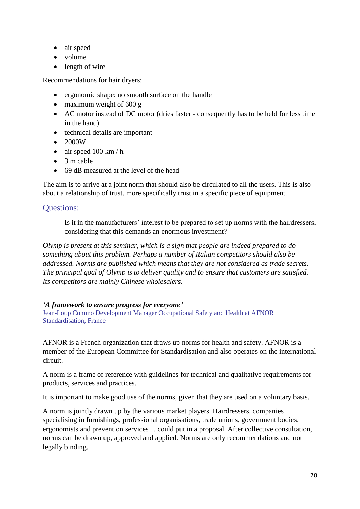- air speed
- volume
- length of wire

Recommendations for hair dryers:

- ergonomic shape: no smooth surface on the handle
- maximum weight of  $600 g$
- AC motor instead of DC motor (dries faster consequently has to be held for less time in the hand)
- technical details are important
- $\bullet$  2000W
- $\bullet$  air speed 100 km / h
- $\bullet$  3 m cable
- 69 dB measured at the level of the head

The aim is to arrive at a joint norm that should also be circulated to all the users. This is also about a relationship of trust, more specifically trust in a specific piece of equipment.

# Questions:

- Is it in the manufacturers' interest to be prepared to set up norms with the hairdressers, considering that this demands an enormous investment?

*Olymp is present at this seminar, which is a sign that people are indeed prepared to do something about this problem. Perhaps a number of Italian competitors should also be addressed. Norms are published which means that they are not considered as trade secrets. The principal goal of Olymp is to deliver quality and to ensure that customers are satisfied. Its competitors are mainly Chinese wholesalers.*

### *'A framework to ensure progress for everyone'*

Jean-Loup Commo Development Manager Occupational Safety and Health at AFNOR Standardisation, France

AFNOR is a French organization that draws up norms for health and safety. AFNOR is a member of the European Committee for Standardisation and also operates on the international circuit.

A norm is a frame of reference with guidelines for technical and qualitative requirements for products, services and practices.

It is important to make good use of the norms, given that they are used on a voluntary basis.

A norm is jointly drawn up by the various market players. Hairdressers, companies specialising in furnishings, professional organisations, trade unions, government bodies, ergonomists and prevention services ... could put in a proposal. After collective consultation, norms can be drawn up, approved and applied. Norms are only recommendations and not legally binding.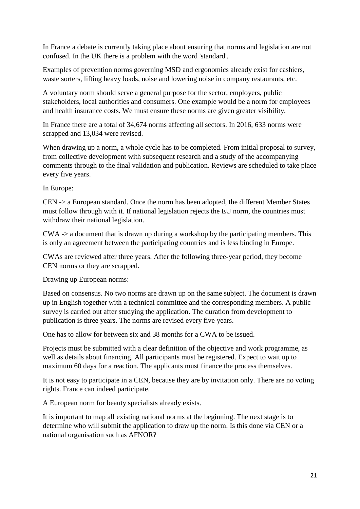In France a debate is currently taking place about ensuring that norms and legislation are not confused. In the UK there is a problem with the word 'standard'.

Examples of prevention norms governing MSD and ergonomics already exist for cashiers, waste sorters, lifting heavy loads, noise and lowering noise in company restaurants, etc.

A voluntary norm should serve a general purpose for the sector, employers, public stakeholders, local authorities and consumers. One example would be a norm for employees and health insurance costs. We must ensure these norms are given greater visibility.

In France there are a total of 34,674 norms affecting all sectors. In 2016, 633 norms were scrapped and 13,034 were revised.

When drawing up a norm, a whole cycle has to be completed. From initial proposal to survey, from collective development with subsequent research and a study of the accompanying comments through to the final validation and publication. Reviews are scheduled to take place every five years.

In Europe:

CEN -> a European standard. Once the norm has been adopted, the different Member States must follow through with it. If national legislation rejects the EU norm, the countries must withdraw their national legislation.

CWA -> a document that is drawn up during a workshop by the participating members. This is only an agreement between the participating countries and is less binding in Europe.

CWAs are reviewed after three years. After the following three-year period, they become CEN norms or they are scrapped.

Drawing up European norms:

Based on consensus. No two norms are drawn up on the same subject. The document is drawn up in English together with a technical committee and the corresponding members. A public survey is carried out after studying the application. The duration from development to publication is three years. The norms are revised every five years.

One has to allow for between six and 38 months for a CWA to be issued.

Projects must be submitted with a clear definition of the objective and work programme, as well as details about financing. All participants must be registered. Expect to wait up to maximum 60 days for a reaction. The applicants must finance the process themselves.

It is not easy to participate in a CEN, because they are by invitation only. There are no voting rights. France can indeed participate.

A European norm for beauty specialists already exists.

It is important to map all existing national norms at the beginning. The next stage is to determine who will submit the application to draw up the norm. Is this done via CEN or a national organisation such as AFNOR?